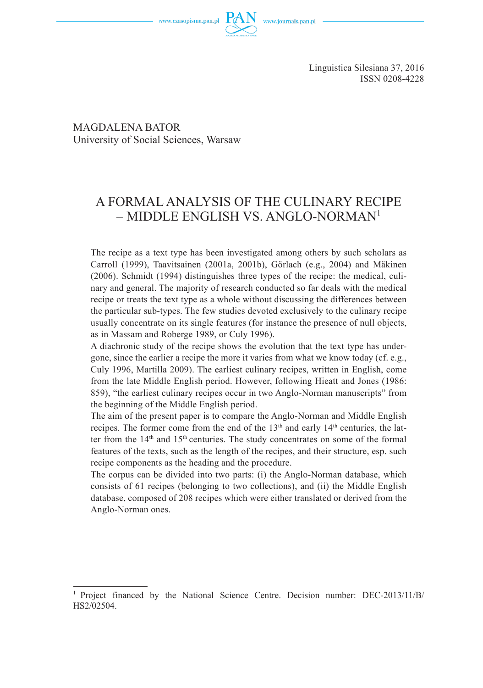

Linguistica Silesiana 37, 2016 ISSN 0208-4228

MAGDALENA BATOR University of Social Sciences, Warsaw

# A FORMAL ANALYSIS OF THE CULINARY RECIPE – MIDDLE ENGLISH VS. ANGLO-NORMAN1

The recipe as a text type has been investigated among others by such scholars as Carroll (1999), Taavitsainen (2001a, 2001b), Görlach (e.g., 2004) and Mäkinen (2006). Schmidt (1994) distinguishes three types of the recipe: the medical, culinary and general. The majority of research conducted so far deals with the medical recipe or treats the text type as a whole without discussing the differences between the particular sub-types. The few studies devoted exclusively to the culinary recipe usually concentrate on its single features (for instance the presence of null objects, as in Massam and Roberge 1989, or Culy 1996).

A diachronic study of the recipe shows the evolution that the text type has undergone, since the earlier a recipe the more it varies from what we know today (cf. e.g., Culy 1996, Martilla 2009). The earliest culinary recipes, written in English, come from the late Middle English period. However, following Hieatt and Jones (1986: 859), "the earliest culinary recipes occur in two Anglo-Norman manuscripts" from the beginning of the Middle English period.

The aim of the present paper is to compare the Anglo-Norman and Middle English recipes. The former come from the end of the  $13<sup>th</sup>$  and early  $14<sup>th</sup>$  centuries, the latter from the  $14<sup>th</sup>$  and  $15<sup>th</sup>$  centuries. The study concentrates on some of the formal features of the texts, such as the length of the recipes, and their structure, esp. such recipe components as the heading and the procedure.

The corpus can be divided into two parts: (i) the Anglo-Norman database, which consists of 61 recipes (belonging to two collections), and (ii) the Middle English database, composed of 208 recipes which were either translated or derived from the Anglo-Norman ones.

<sup>1</sup> Project financed by the National Science Centre. Decision number: DEC-2013/11/B/ HS2/02504.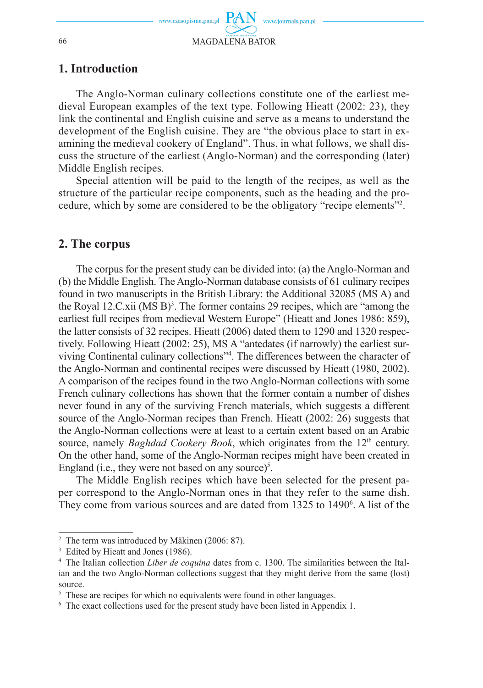

## **1. Introduction**

The Anglo-Norman culinary collections constitute one of the earliest medieval European examples of the text type. Following Hieatt (2002: 23), they link the continental and English cuisine and serve as a means to understand the development of the English cuisine. They are "the obvious place to start in examining the medieval cookery of England". Thus, in what follows, we shall discuss the structure of the earliest (Anglo-Norman) and the corresponding (later) Middle English recipes.

Special attention will be paid to the length of the recipes, as well as the structure of the particular recipe components, such as the heading and the procedure, which by some are considered to be the obligatory "recipe elements"2 .

### **2. The corpus**

The corpus for the present study can be divided into: (a) the Anglo-Norman and (b) the Middle English. The Anglo-Norman database consists of 61 culinary recipes found in two manuscripts in the British Library: the Additional 32085 (MS A) and the Royal 12.C.xii  $(MS B)^3$ . The former contains 29 recipes, which are "among the earliest full recipes from medieval Western Europe" (Hieatt and Jones 1986: 859), the latter consists of 32 recipes. Hieatt (2006) dated them to 1290 and 1320 respectively. Following Hieatt (2002: 25), MS A "antedates (if narrowly) the earliest surviving Continental culinary collections"4 . The differences between the character of the Anglo-Norman and continental recipes were discussed by Hieatt (1980, 2002). A comparison of the recipes found in the two Anglo-Norman collections with some French culinary collections has shown that the former contain a number of dishes never found in any of the surviving French materials, which suggests a different source of the Anglo-Norman recipes than French. Hieatt (2002: 26) suggests that the Anglo-Norman collections were at least to a certain extent based on an Arabic source, namely *Baghdad Cookery Book*, which originates from the 12<sup>th</sup> century. On the other hand, some of the Anglo-Norman recipes might have been created in England (i.e., they were not based on any source) $5$ .

The Middle English recipes which have been selected for the present paper correspond to the Anglo-Norman ones in that they refer to the same dish. They come from various sources and are dated from 1325 to 1490<sup>6</sup>. A list of the

<sup>&</sup>lt;sup>2</sup> The term was introduced by Mäkinen (2006: 87).

<sup>&</sup>lt;sup>3</sup> Edited by Hieatt and Jones (1986).

<sup>4</sup> The Italian collection *Liber de coquina* dates from c. 1300. The similarities between the Italian and the two Anglo-Norman collections suggest that they might derive from the same (lost) source.

<sup>&</sup>lt;sup>5</sup> These are recipes for which no equivalents were found in other languages.

<sup>&</sup>lt;sup>6</sup> The exact collections used for the present study have been listed in Appendix 1.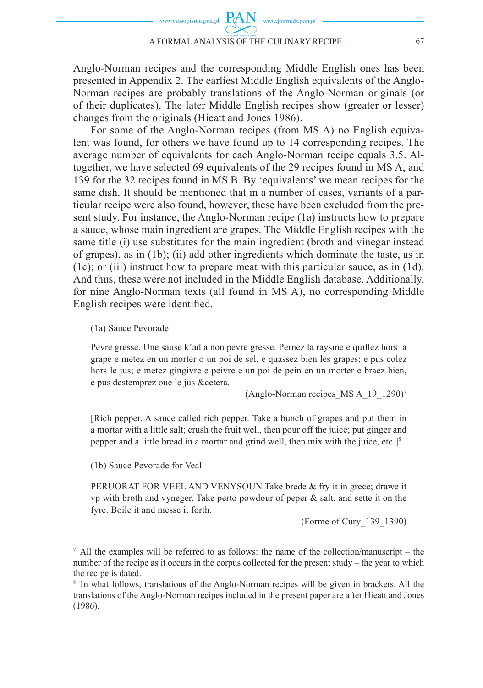

Anglo-Norman recipes and the corresponding Middle English ones has been presented in Appendix 2. The earliest Middle English equivalents of the Anglo-Norman recipes are probably translations of the Anglo-Norman originals (or of their duplicates). The later Middle English recipes show (greater or lesser) changes from the originals (Hieatt and Jones 1986).

For some of the Anglo-Norman recipes (from MS A) no English equivalent was found, for others we have found up to 14 corresponding recipes. The average number of equivalents for each Anglo-Norman recipe equals 3.5. Altogether, we have selected 69 equivalents of the 29 recipes found in MS A, and 139 for the 32 recipes found in MS B. By 'equivalents' we mean recipes for the same dish. It should be mentioned that in a number of cases, variants of a particular recipe were also found, however, these have been excluded from the present study. For instance, the Anglo-Norman recipe (1a) instructs how to prepare a sauce, whose main ingredient are grapes. The Middle English recipes with the same title (i) use substitutes for the main ingredient (broth and vinegar instead of grapes), as in (1b); (ii) add other ingredients which dominate the taste, as in (1c); or (iii) instruct how to prepare meat with this particular sauce, as in (1d). And thus, these were not included in the Middle English database. Additionally, for nine Anglo-Norman texts (all found in MS A), no corresponding Middle English recipes were identified.

#### (1a) Sauce Pevorade

Pevre gresse. Une sause k'ad a non pevre gresse. Pernez la raysine e quillez hors la grape e metez en un morter o un poi de sel, e quassez bien les grapes; e pus colez hors le jus; e metez gingivre e peivre e un poi de pein en un morter e braez bien, e pus destemprez oue le jus &cetera.

(Anglo-Norman recipes MS A  $19$   $1290$ )<sup>7</sup>

[Rich pepper. A sauce called rich pepper. Take a bunch of grapes and put them in a mortar with a little salt; crush the fruit well, then pour off the juice; put ginger and pepper and a little bread in a mortar and grind well, then mix with the juice, etc.]8

(1b) Sauce Pevorade for Veal

PERUORAT FOR VEEL AND VENYSOUN Take brede & fry it in grece; drawe it vp with broth and vyneger. Take perto powdour of peper  $\&$  salt, and sette it on the fyre. Boile it and messe it forth.

(Forme of Cury\_139\_1390)

 $\alpha$  All the examples will be referred to as follows: the name of the collection/manuscript – the number of the recipe as it occurs in the corpus collected for the present study – the year to which the recipe is dated.

<sup>8</sup> In what follows, translations of the Anglo-Norman recipes will be given in brackets. All the translations of the Anglo-Norman recipes included in the present paper are after Hieatt and Jones (1986).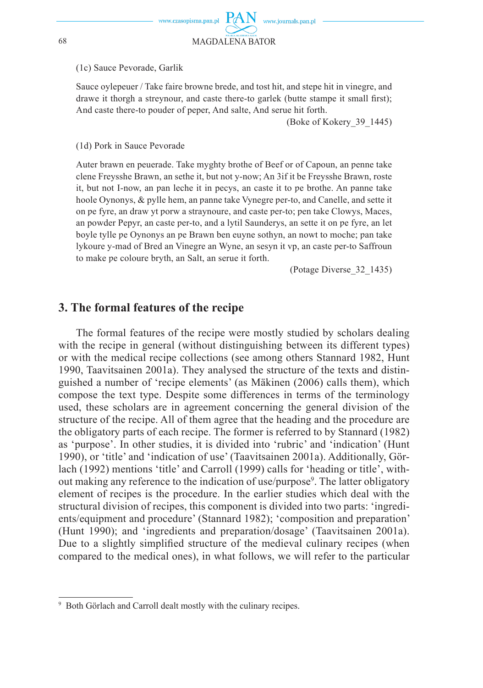#### (1c) Sauce Pevorade, Garlik

Sauce ovlepeuer / Take faire browne brede, and tost hit, and stepe hit in vinegre, and drawe it thorgh a strevnour, and caste there-to garlek (butte stampe it small first); And caste there-to pouder of peper, And salte, And serue hit forth.

(Boke of Kokery 39 1445)

#### (1d) Pork in Sauce Pevorade

Auter brawn en peuerade. Take myghty brothe of Beef or of Capoun, an penne take clene Freysshe Brawn, an sethe it, but not y-now; An 3if it be Freysshe Brawn, roste it, but not I-now, an pan leche it in pecys, an caste it to pe brothe. An panne take hoole Oynonys, & pylle hem, an panne take Vynegre per-to, and Canelle, and sette it on pe fyre, an draw yt porw a straynoure, and caste per-to; pen take Clowys, Maces, an powder Pepyr, an caste per-to, and a lytil Saunderys, an sette it on pe fyre, an let boyle tylle pe Oynonys an pe Brawn ben euyne sothyn, an nowt to moche; pan take lykoure y-mad of Bred an Vinegre an Wyne, an sesyn it vp, an caste per-to Saffroun to make pe coloure bryth, an Salt, an serue it forth.

(Potage Diverse 32 1435)

### 3. The formal features of the recipe

The formal features of the recipe were mostly studied by scholars dealing with the recipe in general (without distinguishing between its different types) or with the medical recipe collections (see among others Stannard 1982, Hunt 1990, Taavitsainen 2001a). They analysed the structure of the texts and distinguished a number of 'recipe elements' (as Mäkinen (2006) calls them), which compose the text type. Despite some differences in terms of the terminology used, these scholars are in agreement concerning the general division of the structure of the recipe. All of them agree that the heading and the procedure are the obligatory parts of each recipe. The former is referred to by Stannard (1982) as 'purpose'. In other studies, it is divided into 'rubric' and 'indication' (Hunt 1990), or 'title' and 'indication of use' (Taavitsainen 2001a). Additionally, Görlach (1992) mentions 'title' and Carroll (1999) calls for 'heading or title', without making any reference to the indication of use/purpose<sup>9</sup>. The latter obligatory element of recipes is the procedure. In the earlier studies which deal with the structural division of recipes, this component is divided into two parts: 'ingredients/equipment and procedure' (Stannard 1982); 'composition and preparation' (Hunt 1990); and 'ingredients and preparation/dosage' (Taavitsainen 2001a). Due to a slightly simplified structure of the medieval culinary recipes (when compared to the medical ones), in what follows, we will refer to the particular

<sup>&</sup>lt;sup>9</sup> Both Görlach and Carroll dealt mostly with the culinary recipes.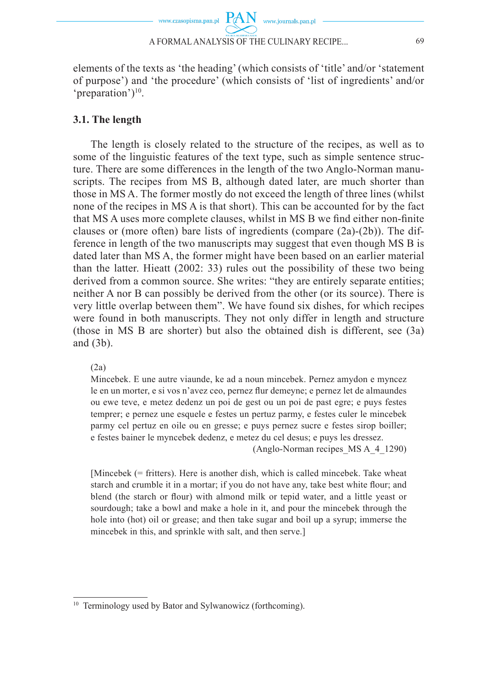

elements of the texts as 'the heading' (which consists of 'title' and/or 'statement of purpose') and 'the procedure' (which consists of 'list of ingredients' and/or 'preparation')<sup>10</sup>.

### **3.1. The length**

The length is closely related to the structure of the recipes, as well as to some of the linguistic features of the text type, such as simple sentence structure. There are some differences in the length of the two Anglo-Norman manuscripts. The recipes from MS B, although dated later, are much shorter than those in MS A. The former mostly do not exceed the length of three lines (whilst none of the recipes in MS A is that short). This can be accounted for by the fact that MS A uses more complete clauses, whilst in MS B we find either non-finite clauses or (more often) bare lists of ingredients (compare  $(2a)-(2b)$ ). The difference in length of the two manuscripts may suggest that even though MS B is dated later than MS A, the former might have been based on an earlier material than the latter. Hieatt (2002: 33) rules out the possibility of these two being derived from a common source. She writes: "they are entirely separate entities; neither A nor B can possibly be derived from the other (or its source). There is very little overlap between them". We have found six dishes, for which recipes were found in both manuscripts. They not only differ in length and structure (those in MS B are shorter) but also the obtained dish is different, see (3a) and (3b).

(2a)

Mincebek. E une autre viaunde, ke ad a noun mincebek. Pernez amydon e myncez le en un morter, e si vos n'avez ceo, pernez flur demeyne; e pernez let de almaundes ou ewe teve, e metez dedenz un poi de gest ou un poi de past egre; e puys festes temprer; e pernez une esquele e festes un pertuz parmy, e festes culer le mincebek parmy cel pertuz en oile ou en gresse; e puys pernez sucre e festes sirop boiller; e festes bainer le myncebek dedenz, e metez du cel desus; e puys les dressez.

(Anglo-Norman recipes\_MS A\_4\_1290)

[Mincebek (= fritters). Here is another dish, which is called mincebek. Take wheat starch and crumble it in a mortar; if you do not have any, take best white flour; and blend (the starch or flour) with almond milk or tepid water, and a little yeast or sourdough; take a bowl and make a hole in it, and pour the mincebek through the hole into (hot) oil or grease; and then take sugar and boil up a syrup; immerse the mincebek in this, and sprinkle with salt, and then serve.]

<sup>10</sup> Terminology used by Bator and Sylwanowicz (forthcoming).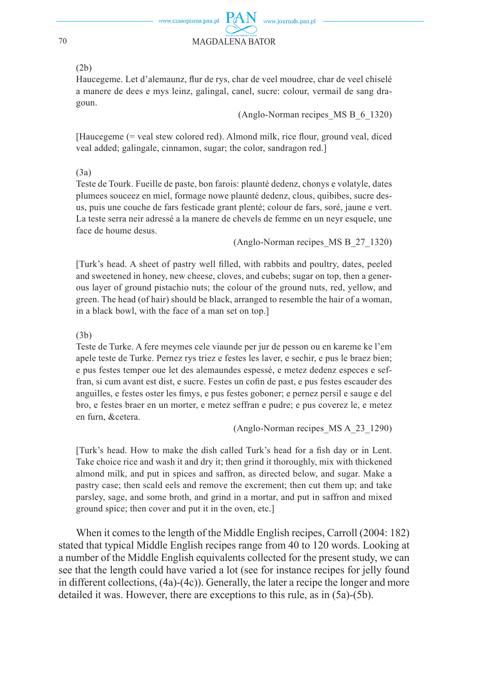

#### (2b)

Haucegeme. Let d'alemaunz, flur de rys, char de veel moudree, char de veel chiselé a manere de dees e mys leinz, galingal, canel, sucre: colour, vermail de sang dragoun.

(Anglo-Norman recipes\_MS B\_6\_1320)

[Haucegeme (= yeal stew colored red). Almond milk, rice flour, ground yeal, diced veal added; galingale, cinnamon, sugar; the color, sandragon red.]

(3a)

Teste de Tourk. Fueille de paste, bon farois: plaunté dedenz, chonys e volatyle, dates plumees souceez en miel, formage nowe plaunté dedenz, clous, quibibes, sucre desus, puis une couche de fars festicade grant plenté; colour de fars, soré, jaune e vert. La teste serra neir adressé a la manere de chevels de femme en un neyr esquele, une face de houme desus.

(Anglo-Norman recipes\_MS B\_27\_1320)

[Turk's head. A sheet of pastry well fi lled, with rabbits and poultry, dates, peeled and sweetened in honey, new cheese, cloves, and cubebs; sugar on top, then a generous layer of ground pistachio nuts; the colour of the ground nuts, red, yellow, and green. The head (of hair) should be black, arranged to resemble the hair of a woman, in a black bowl, with the face of a man set on top.]

#### (3b)

Teste de Turke. A fere meymes cele viaunde per jur de pesson ou en kareme ke l'em apele teste de Turke. Pernez rys triez e festes les laver, e sechir, e pus le braez bien; e pus festes temper oue let des alemaundes espessé, e metez dedenz especes e seffran, si cum avant est dist, e sucre. Festes un cofin de past, e pus festes escauder des anguilles, e festes oster les fimys, e pus festes goboner; e pernez persil e sauge e del bro, e festes braer en un morter, e metez seffran e pudre; e pus coverez le, e metez en furn, &cetera.

(Anglo-Norman recipes\_MS A\_23\_1290)

[Turk's head. How to make the dish called Turk's head for a fish day or in Lent. Take choice rice and wash it and dry it; then grind it thoroughly, mix with thickened almond milk, and put in spices and saffron, as directed below, and sugar. Make a pastry case; then scald eels and remove the excrement; then cut them up; and take parsley, sage, and some broth, and grind in a mortar, and put in saffron and mixed ground spice; then cover and put it in the oven, etc.]

When it comes to the length of the Middle English recipes, Carroll (2004: 182) stated that typical Middle English recipes range from 40 to 120 words. Looking at a number of the Middle English equivalents collected for the present study, we can see that the length could have varied a lot (see for instance recipes for jelly found in different collections, (4a)-(4c)). Generally, the later a recipe the longer and more detailed it was. However, there are exceptions to this rule, as in (5a)-(5b).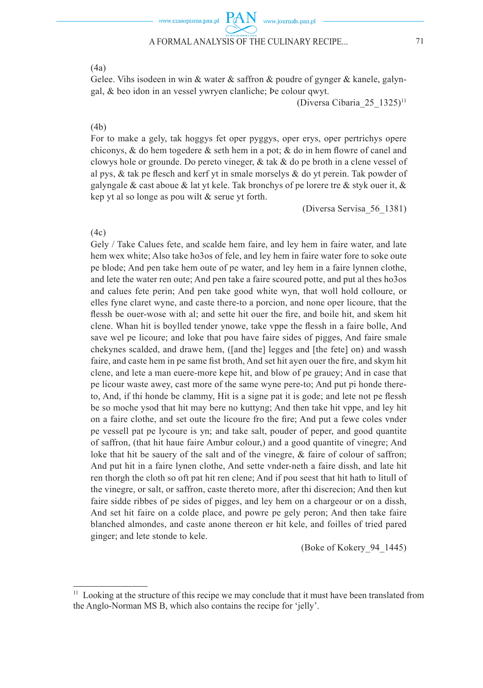

 $(4a)$ 

Gelee. Vihs isodeen in win & water & saffron & poudre of gynger & kanele, galyngal, & beo idon in an vessel ywryen clanliche; be colour qwyt.

(Diversa Cibaria 25 1325)<sup>11</sup>

#### $(4b)$

For to make a gely, tak hoggys fet oper pyggys, oper erys, oper pertrichys opere chiconys, & do hem togedere  $\&$  seth hem in a pot;  $\&$  do in hem flowre of canel and clowys hole or grounde. Do pereto vineger,  $\&$  tak  $\&$  do pe broth in a clene vessel of al pys. & tak pe flesch and kerf yt in smale morselys & do yt perein. Tak powder of galyngale & cast aboue & lat yt kele. Tak bronchys of pe lorere tre & styk ouer it, & kep yt al so longe as pou wilt  $&$  serue yt forth.

(Diversa Servisa 56 1381)

 $(4c)$ 

Gely / Take Calues fete, and scalde hem faire, and ley hem in faire water, and late hem wex white; Also take ho 3os of fele, and ley hem in faire water fore to soke oute pe blode; And pen take hem oute of pe water, and ley hem in a faire lynnen clothe, and lete the water ren oute; And pen take a faire scoured potte, and put al thes ho 3os and calues fete perin; And pen take good white wyn, that woll hold colloure, or elles fyne claret wyne, and caste there-to a porcion, and none oper licoure, that the flessh be ouer-wose with al; and sette hit ouer the fire, and boile hit, and skem hit clene. Whan hit is boylled tender ynowe, take yppe the flessh in a faire bolle, And save wel pe licoure; and loke that pou have faire sides of pigges, And faire smale chekynes scalded, and drawe hem, ([and the] legges and [the fete] on) and wassh faire, and caste hem in pe same fist broth. And set hit ayen ouer the fire, and skym hit clene, and lete a man euere-more kepe hit, and blow of pe grauey; And in case that pe licour waste awey, cast more of the same wyne pere-to; And put pi honde thereto, And, if thi honde be clammy, Hit is a signe pat it is gode; and lete not pe flessh be so moche ysod that hit may bere no kuttyng; And then take hit vppe, and ley hit on a faire clothe, and set oute the licoure fro the fire; And put a fewe coles vnder pe vessell pat pe lycoure is yn; and take salt, pouder of peper, and good quantite of saffron, (that hit have faire Ambur colour,) and a good quantite of vinegre; And loke that hit be sauery of the salt and of the vinegre,  $\&$  faire of colour of saffron; And put hit in a faire lynen clothe, And sette vnder-neth a faire dissh, and late hit ren thorgh the cloth so oft pat hit ren clene; And if pou seest that hit hath to litull of the vinegre, or salt, or saffron, caste thereto more, after thi discrecion; And then kut faire sidde ribbes of pe sides of pigges, and ley hem on a chargeour or on a dissh, And set hit faire on a colde place, and powre pe gely peron; And then take faire blanched almondes, and caste anone thereon er hit kele, and foilles of tried pared ginger; and lete stonde to kele.

(Boke of Kokery 94 1445)

<sup>&</sup>lt;sup>11</sup> Looking at the structure of this recipe we may conclude that it must have been translated from the Anglo-Norman MS B, which also contains the recipe for 'jelly'.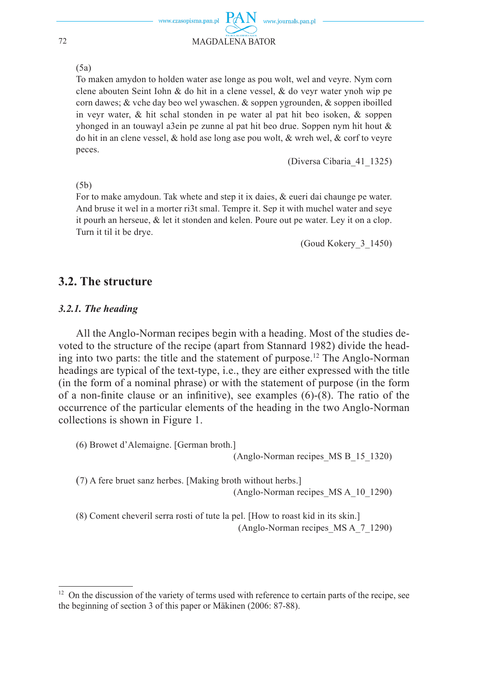#### $(5a)$

To maken amydon to holden water ase longe as pou wolt, wel and veyre. Nym corn clene abouten Seint Iohn & do hit in a clene vessel, & do veyr water ynoh wip pe corn dawes; & vche day beo wel ywaschen. & soppen ygrounden, & soppen iboilled in veyr water,  $\&$  hit schal stonden in pe water al pat hit beo isoken,  $\&$  soppen yhonged in an touwayl a3ein pe zunne al pat hit beo drue. Soppen nym hit hout  $\&$ do hit in an clene vessel, & hold ase long ase pou wolt, & wreh wel, & corf to vevre peces.

(Diversa Cibaria 41 1325)

#### $(5b)$

For to make amydoun. Tak whete and step it ix daies, & eueri dai chaunge pe water. And bruse it wel in a morter ri3t smal. Tempre it. Sep it with muchel water and seve it pourh an herseue,  $\&$  let it stonden and kelen. Poure out pe water. Ley it on a clop. Turn it til it be drye.

(Goud Kokery 3 1450)

## 3.2. The structure

### 3.2.1. The heading

All the Anglo-Norman recipes begin with a heading. Most of the studies devoted to the structure of the recipe (apart from Stannard 1982) divide the heading into two parts: the title and the statement of purpose.<sup>12</sup> The Anglo-Norman headings are typical of the text-type, i.e., they are either expressed with the title (in the form of a nominal phrase) or with the statement of purpose (in the form of a non-finite clause or an infinitive), see examples  $(6)-(8)$ . The ratio of the occurrence of the particular elements of the heading in the two Anglo-Norman collections is shown in Figure 1.

(6) Browet d'Alemaigne. [German broth.] (Anglo-Norman recipes MS B 15 1320)

(7) A fere bruet sanz herbes. [Making broth without herbs.] (Anglo-Norman recipes MS A 10 1290)

(8) Coment cheveril serra rosti of tute la pel. [How to roast kid in its skin.] (Anglo-Norman recipes MSA 7 1290)

72

<sup>&</sup>lt;sup>12</sup> On the discussion of the variety of terms used with reference to certain parts of the recipe, see the beginning of section 3 of this paper or Mäkinen (2006: 87-88).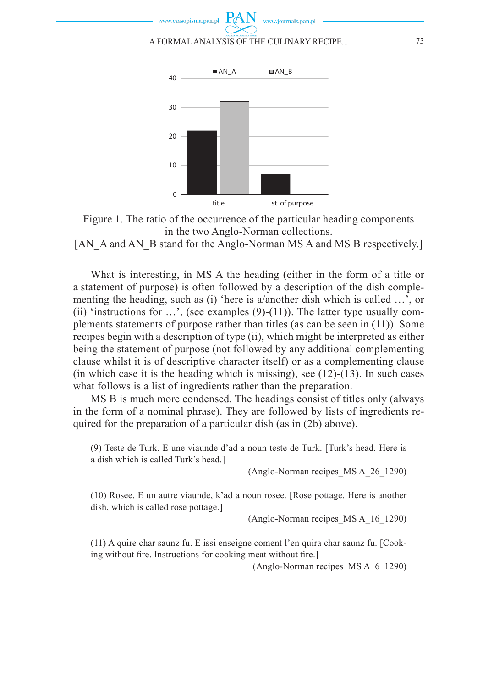



 $\Omega$ 

[AN\_A and AN\_B stand for the Anglo-Norman MS A and MS B respectively.]

What is interesting, in MS A the heading (either in the form of a title or a statement of purpose) is often followed by a description of the dish complementing the heading, such as (i) 'here is a/another dish which is called …', or (ii) 'instructions for  $\dots$ ', (see examples (9)-(11)). The latter type usually complements statements of purpose rather than titles (as can be seen in (11)). Some recipes begin with a description of type (ii), which might be interpreted as either being the statement of purpose (not followed by any additional complementing clause whilst it is of descriptive character itself) or as a complementing clause (in which case it is the heading which is missing), see  $(12)-(13)$ . In such cases what follows is a list of ingredients rather than the preparation.

MS B is much more condensed. The headings consist of titles only (always in the form of a nominal phrase). They are followed by lists of ingredients required for the preparation of a particular dish (as in (2b) above).

(9) Teste de Turk. E une viaunde d'ad a noun teste de Turk. [Turk's head. Here is a dish which is called Turk's head.]

(Anglo-Norman recipes\_MS A\_26\_1290)

(10) Rosee. E un autre viaunde, k'ad a noun rosee. [Rose pottage. Here is another dish, which is called rose pottage.]

(Anglo-Norman recipes\_MS A\_16\_1290)

(11) A quire char saunz fu. E issi enseigne coment l'en quira char saunz fu. [Cooking without fire. Instructions for cooking meat without fire.

(Anglo-Norman recipes\_MS A\_6\_1290)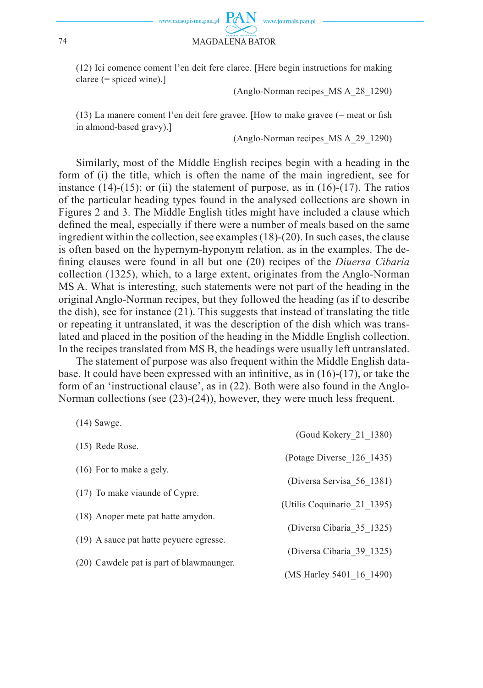

(12) Ici comence coment l'en deit fere claree. [Here begin instructions for making claree (= spiced wine).]

(Anglo-Norman recipes\_MS A\_28\_1290)

 $(13)$  La manere coment l'en deit fere gravee. [How to make gravee (= meat or fish in almond-based gravy).]

(Anglo-Norman recipes\_MS A\_29\_1290)

Similarly, most of the Middle English recipes begin with a heading in the form of (i) the title, which is often the name of the main ingredient, see for instance  $(14)-(15)$ ; or  $(ii)$  the statement of purpose, as in  $(16)-(17)$ . The ratios of the particular heading types found in the analysed collections are shown in Figures 2 and 3. The Middle English titles might have included a clause which defined the meal, especially if there were a number of meals based on the same ingredient within the collection, see examples (18)-(20). In such cases, the clause is often based on the hypernym-hyponym relation, as in the examples. The defining clauses were found in all but one (20) recipes of the *Diuersa Cibaria* collection (1325), which, to a large extent, originates from the Anglo-Norman MS A. What is interesting, such statements were not part of the heading in the original Anglo-Norman recipes, but they followed the heading (as if to describe the dish), see for instance (21). This suggests that instead of translating the title or repeating it untranslated, it was the description of the dish which was translated and placed in the position of the heading in the Middle English collection. In the recipes translated from MS B, the headings were usually left untranslated.

The statement of purpose was also frequent within the Middle English database. It could have been expressed with an infinitive, as in  $(16)-(17)$ , or take the form of an 'instructional clause', as in (22). Both were also found in the Anglo-Norman collections (see (23)-(24)), however, they were much less frequent.

| $1 + 1$ , $0 + 1$ , $\pi$                | (Goud Kokery 21 1380)       |
|------------------------------------------|-----------------------------|
| $(15)$ Rede Rose.                        |                             |
|                                          | (Potage Diverse 126 1435)   |
| $(16)$ For to make a gely.               | (Diversa Servisa 56 1381)   |
| (17) To make via unde of Cypre.          |                             |
|                                          | (Utilis Coquinario 21 1395) |
| (18) Anoper mete pat hatte amydon.       | (Diversa Cibaria 35 1325)   |
| (19) A sauce pat hatte peyuere egresse.  |                             |
|                                          | (Diversa Cibaria 39 1325)   |
| (20) Cawdele pat is part of blawmaunger. |                             |
|                                          | (MS Harley 5401 16 1490)    |

 $(14)$  Sawge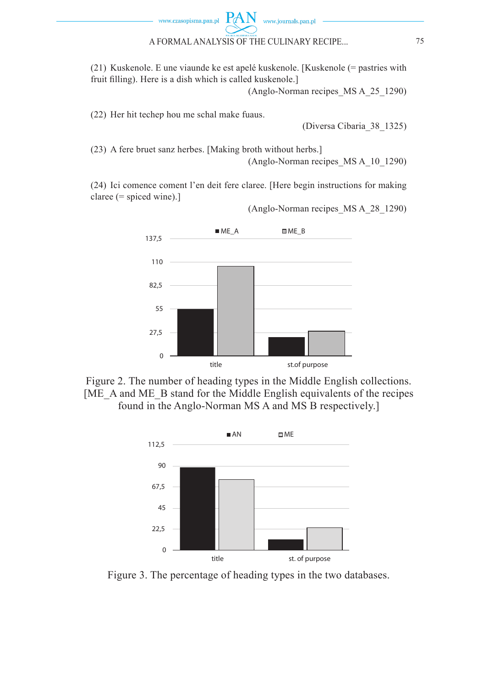

(21) Kuskenole. E une viaunde ke est apelé kuskenole. [Kuskenole (= pastries with fruit filling). Here is a dish which is called kuskenole. (Anglo-Norman recipes\_MS A\_25\_1290)

www.journals.pan.pl

(22) Her hit techep hou me schal make fuaus.

(Diversa Cibaria\_38\_1325)

(23) A fere bruet sanz herbes. [Making broth without herbs.] (Anglo-Norman recipes\_MS A\_10\_1290)

(24) Ici comence coment l'en deit fere claree. [Here begin instructions for making claree (= spiced wine).]

(Anglo-Norman recipes\_MS A\_28\_1290)



Figure 2. The number of heading types in the Middle English collections. [ME\_A and ME\_B stand for the Middle English equivalents of the recipes found in the Anglo-Norman MS A and MS B respectively.]



Figure 3. The percentage of heading types in the two databases.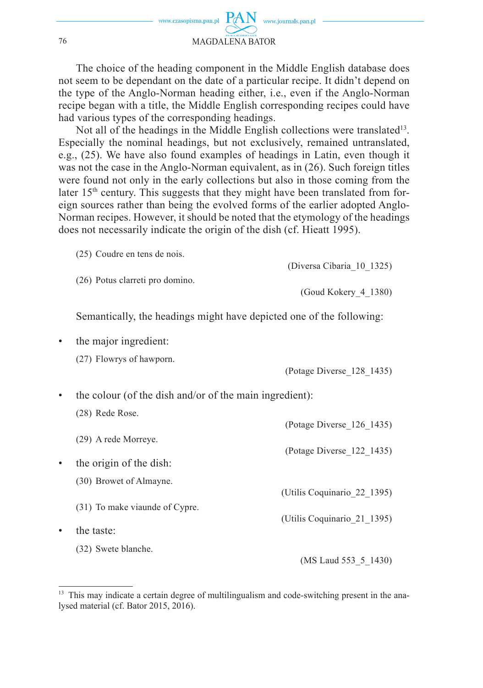The choice of the heading component in the Middle English database does not seem to be dependant on the date of a particular recipe. It didn't depend on the type of the Anglo-Norman heading either, i.e., even if the Anglo-Norman recipe began with a title, the Middle English corresponding recipes could have had various types of the corresponding headings.

Not all of the headings in the Middle English collections were translated<sup>13</sup>. Especially the nominal headings, but not exclusively, remained untranslated, e.g., (25). We have also found examples of headings in Latin, even though it was not the case in the Anglo-Norman equivalent, as in (26). Such foreign titles were found not only in the early collections but also in those coming from the later 15<sup>th</sup> century. This suggests that they might have been translated from foreign sources rather than being the evolved forms of the earlier adopted Anglo-Norman recipes. However, it should be noted that the etymology of the headings does not necessarily indicate the origin of the dish (cf. Hieatt 1995).

(25) Coudre en tens de nois.

(26) Potus clarreti pro domino.

(Diversa Cibaria\_10\_1325)

(Goud Kokery\_4\_1380)

Semantically, the headings might have depicted one of the following:

• the major ingredient:

| (Potage Diverse_128_1435) |  |  |
|---------------------------|--|--|
|                           |  |  |

(Potage Diverse\_126\_1435)

- the colour (of the dish and/or of the main ingredient):
	- (28) Rede Rose.
	- (29) A rede Morreye.
- (Potage Diverse\_122\_1435) the origin of the dish: (30) Browet of Almayne. (Utilis Coquinario\_22\_1395) (31) To make viaunde of Cypre. (Utilis Coquinario\_21\_1395) the taste: (32) Swete blanche.

(MS Laud 553\_5\_1430)

<sup>(27)</sup> Flowrys of hawporn.

<sup>&</sup>lt;sup>13</sup> This may indicate a certain degree of multilingualism and code-switching present in the analysed material (cf. Bator 2015, 2016).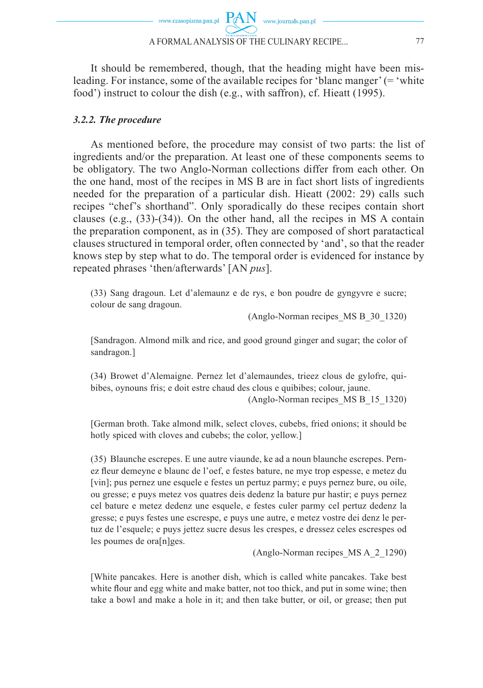

food') instruct to colour the dish (e.g., with saffron), cf. Hieatt (1995).

It should be remembered, though, that the heading might have been misleading. For instance, some of the available recipes for 'blanc manger' (= 'white

### *3.2.2. The procedure*

As mentioned before, the procedure may consist of two parts: the list of ingredients and/or the preparation. At least one of these components seems to be obligatory. The two Anglo-Norman collections differ from each other. On the one hand, most of the recipes in MS B are in fact short lists of ingredients needed for the preparation of a particular dish. Hieatt (2002: 29) calls such recipes "chef's shorthand". Only sporadically do these recipes contain short clauses (e.g.,  $(33)-(34)$ ). On the other hand, all the recipes in MS A contain the preparation component, as in (35). They are composed of short paratactical clauses structured in temporal order, often connected by 'and', so that the reader knows step by step what to do. The temporal order is evidenced for instance by repeated phrases 'then/afterwards' [AN *pus*].

(33) Sang dragoun. Let d'alemaunz e de rys, e bon poudre de gyngyvre e sucre; colour de sang dragoun.

(Anglo-Norman recipes\_MS B\_30\_1320)

[Sandragon. Almond milk and rice, and good ground ginger and sugar; the color of sandragon.]

(34) Browet d'Alemaigne. Pernez let d'alemaundes, trieez clous de gylofre, quibibes, oynouns fris; e doit estre chaud des clous e quibibes; colour, jaune.

(Anglo-Norman recipes\_MS B\_15\_1320)

[German broth. Take almond milk, select cloves, cubebs, fried onions; it should be hotly spiced with cloves and cubebs; the color, yellow.]

(35) Blaunche escrepes. E une autre viaunde, ke ad a noun blaunche escrepes. Pernez fleur demeyne e blaunc de l'oef, e festes bature, ne mye trop espesse, e metez du [vin]; pus pernez une esquele e festes un pertuz parmy; e puys pernez bure, ou oile, ou gresse; e puys metez vos quatres deis dedenz la bature pur hastir; e puys pernez cel bature e metez dedenz une esquele, e festes culer parmy cel pertuz dedenz la gresse; e puys festes une escrespe, e puys une autre, e metez vostre dei denz le pertuz de l'esquele; e puys jettez sucre desus les crespes, e dressez celes escrespes od les poumes de ora[n]ges.

(Anglo-Norman recipes\_MS A\_2\_1290)

[White pancakes. Here is another dish, which is called white pancakes. Take best white flour and egg white and make batter, not too thick, and put in some wine; then take a bowl and make a hole in it; and then take butter, or oil, or grease; then put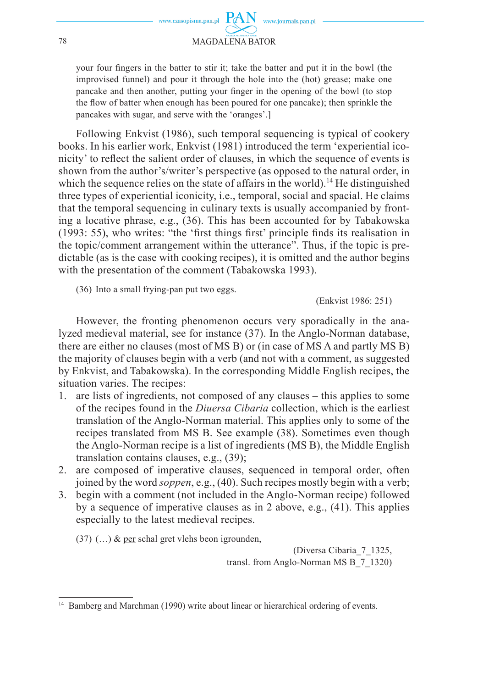

your four fingers in the batter to stir it; take the batter and put it in the bowl (the improvised funnel) and pour it through the hole into the (hot) grease; make one pancake and then another, putting your finger in the opening of the bowl (to stop the flow of batter when enough has been poured for one pancake); then sprinkle the pancakes with sugar, and serve with the 'oranges'.]

Following Enkvist (1986), such temporal sequencing is typical of cookery books. In his earlier work, Enkvist (1981) introduced the term 'experiential iconicity' to reflect the salient order of clauses, in which the sequence of events is shown from the author's/writer's perspective (as opposed to the natural order, in which the sequence relies on the state of affairs in the world).<sup>14</sup> He distinguished three types of experiential iconicity, i.e., temporal, social and spacial. He claims that the temporal sequencing in culinary texts is usually accompanied by fronting a locative phrase, e.g., (36). This has been accounted for by Tabakowska  $(1993: 55)$ , who writes: "the 'first things first' principle finds its realisation in the topic/comment arrangement within the utterance". Thus, if the topic is predictable (as is the case with cooking recipes), it is omitted and the author begins with the presentation of the comment (Tabakowska 1993).

(36) Into a small frying-pan put two eggs.

(Enkvist 1986: 251)

However, the fronting phenomenon occurs very sporadically in the analyzed medieval material, see for instance (37). In the Anglo-Norman database, there are either no clauses (most of MS B) or (in case of MS A and partly MS B) the majority of clauses begin with a verb (and not with a comment, as suggested by Enkvist, and Tabakowska). In the corresponding Middle English recipes, the situation varies. The recipes:

- 1. are lists of ingredients, not composed of any clauses this applies to some of the recipes found in the *Diuersa Cibaria* collection, which is the earliest translation of the Anglo-Norman material. This applies only to some of the recipes translated from MS B. See example (38). Sometimes even though the Anglo-Norman recipe is a list of ingredients (MS B), the Middle English translation contains clauses, e.g., (39);
- 2. are composed of imperative clauses, sequenced in temporal order, often joined by the word *soppen*, e.g., (40). Such recipes mostly begin with a verb;
- 3. begin with a comment (not included in the Anglo-Norman recipe) followed by a sequence of imperative clauses as in 2 above, e.g., (41). This applies especially to the latest medieval recipes.

 $(37)$  (...) & per schal gret vlehs beon igrounden,

(Diversa Cibaria\_7\_1325, transl. from Anglo-Norman MS B\_7\_1320)

<sup>&</sup>lt;sup>14</sup> Bamberg and Marchman (1990) write about linear or hierarchical ordering of events.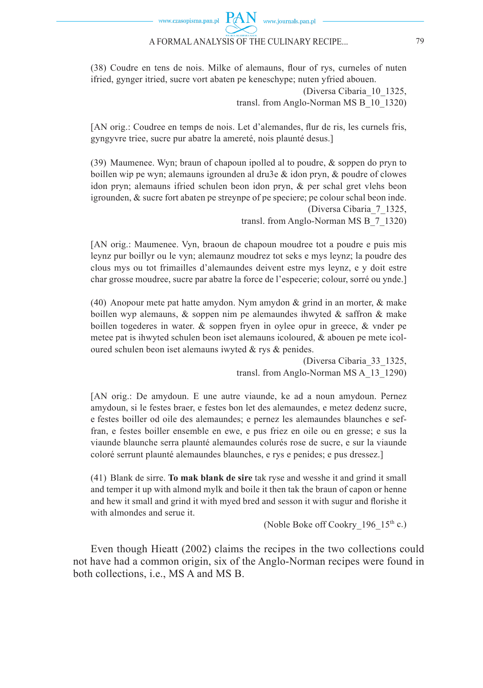# www.czasopisma.pan.pl  $PAN$  www.journals.pan.pl

#### A FORMAL ANALYSIS OF THE CULINARY RECIPE... 79

(38) Coudre en tens de nois. Milke of alemauns, flour of rys, curneles of nuten ifried, gynger itried, sucre vort abaten pe keneschype; nuten yfried abouen.

> (Diversa Cibaria\_10\_1325, transl. from Anglo-Norman MS B\_10\_1320)

[AN orig.: Coudree en temps de nois. Let d'alemandes, flur de ris, les curnels fris, gyngyvre triee, sucre pur abatre la amereté, nois plaunté desus.]

(39) Maumenee. Wyn; braun of chapoun ipolled al to poudre,  $\&$  soppen do pryn to boillen wip pe wyn; alemauns igrounden al dru3e  $\&$  idon pryn,  $\&$  poudre of clowes idon pryn; alemauns ifried schulen beon idon pryn, & per schal gret vlehs beon igrounden,  $&$  sucre fort abaten pe streynpe of  $p$ e speciere;  $p$ e colour schal beon inde. (Diversa Cibaria\_7\_1325,

transl. from Anglo-Norman MS B\_7\_1320)

[AN orig.: Maumenee. Vyn, braoun de chapoun moudree tot a poudre e puis mis leynz pur boillyr ou le vyn; alemaunz moudrez tot seks e mys leynz; la poudre des clous mys ou tot frimailles d'alemaundes deivent estre mys leynz, e y doit estre char grosse moudree, sucre par abatre la force de l'especerie; colour, sorré ou ynde.]

(40) Anopour mete pat hatte amydon. Nym amydon  $\&$  grind in an morter,  $\&$  make boillen wyp alemauns,  $\&$  soppen nim pe alemaundes ihwyted  $\&$  saffron  $\&$  make boillen togederes in water.  $\&$  soppen fryen in oylee opur in greece,  $\&$  vnder pe metee pat is ihwyted schulen beon iset alemauns icoloured,  $\&$  abouen pe mete icoloured schulen beon iset alemauns iwyted & rys & penides.

> (Diversa Cibaria\_33\_1325, transl. from Anglo-Norman MS A\_13\_1290)

[AN orig.: De amydoun. E une autre viaunde, ke ad a noun amydoun. Pernez amydoun, si le festes braer, e festes bon let des alemaundes, e metez dedenz sucre, e festes boiller od oile des alemaundes; e pernez les alemaundes blaunches e seffran, e festes boiller ensemble en ewe, e pus friez en oile ou en gresse; e sus la viaunde blaunche serra plaunté alemaundes colurés rose de sucre, e sur la viaunde coloré serrunt plaunté alemaundes blaunches, e rys e penides; e pus dressez.]

(41) Blank de sirre. **To mak blank de sire** tak ryse and wesshe it and grind it small and temper it up with almond mylk and boile it then tak the braun of capon or henne and hew it small and grind it with myed bred and sesson it with sugur and florishe it with almondes and serue it.

(Noble Boke off Cookry 196  $15<sup>th</sup>$  c.)

Even though Hieatt (2002) claims the recipes in the two collections could not have had a common origin, six of the Anglo-Norman recipes were found in both collections, i.e., MS A and MS B.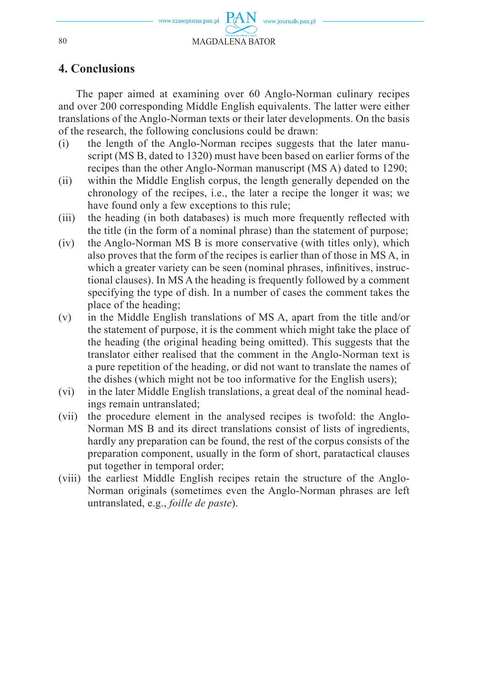

# **4. Conclusions**

The paper aimed at examining over 60 Anglo-Norman culinary recipes and over 200 corresponding Middle English equivalents. The latter were either translations of the Anglo-Norman texts or their later developments. On the basis of the research, the following conclusions could be drawn:

- (i) the length of the Anglo-Norman recipes suggests that the later manuscript (MS B, dated to 1320) must have been based on earlier forms of the recipes than the other Anglo-Norman manuscript (MS A) dated to 1290;
- (ii) within the Middle English corpus, the length generally depended on the chronology of the recipes, i.e., the later a recipe the longer it was; we have found only a few exceptions to this rule;
- (iii) the heading (in both databases) is much more frequently reflected with the title (in the form of a nominal phrase) than the statement of purpose;
- (iv) the Anglo-Norman MS B is more conservative (with titles only), which also proves that the form of the recipes is earlier than of those in MS A, in which a greater variety can be seen (nominal phrases, infinitives, instructional clauses). In MS A the heading is frequently followed by a comment specifying the type of dish. In a number of cases the comment takes the place of the heading;
- (v) in the Middle English translations of MS A, apart from the title and/or the statement of purpose, it is the comment which might take the place of the heading (the original heading being omitted). This suggests that the translator either realised that the comment in the Anglo-Norman text is a pure repetition of the heading, or did not want to translate the names of the dishes (which might not be too informative for the English users);
- (vi) in the later Middle English translations, a great deal of the nominal headings remain untranslated;
- (vii) the procedure element in the analysed recipes is twofold: the Anglo-Norman MS B and its direct translations consist of lists of ingredients, hardly any preparation can be found, the rest of the corpus consists of the preparation component, usually in the form of short, paratactical clauses put together in temporal order;
- (viii) the earliest Middle English recipes retain the structure of the Anglo-Norman originals (sometimes even the Anglo-Norman phrases are left untranslated, e.g., *foille de paste*).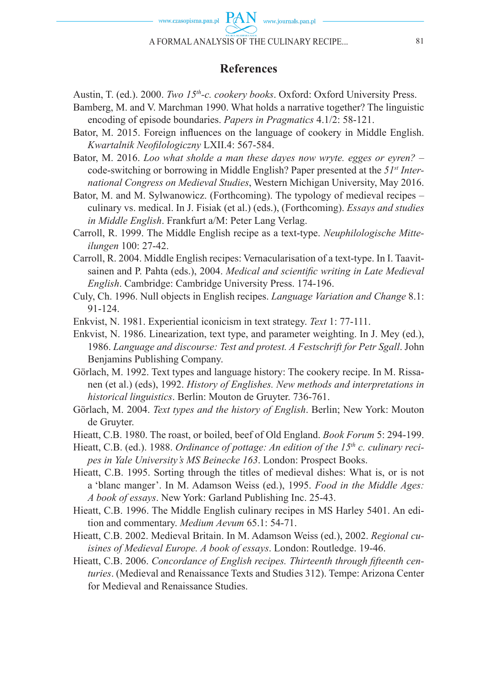

# **References**

Austin, T. (ed.). 2000. *Two 15<sup>th</sup>-c. cookery books*. Oxford: Oxford University Press.

- Bamberg, M. and V. Marchman 1990. What holds a narrative together? The linguistic encoding of episode boundaries. *Papers in Pragmatics* 4.1/2: 58-121.
- Bator, M. 2015. Foreign influences on the language of cookery in Middle English. *Kwartalnik Neofi lologiczny* LXII.4: 567-584.
- Bator, M. 2016. *Loo what sholde a man these dayes now wryte. egges or eyren?* code-switching or borrowing in Middle English? Paper presented at the *51st International Congress on Medieval Studies*, Western Michigan University, May 2016.
- Bator, M. and M. Sylwanowicz. (Forthcoming). The typology of medieval recipes culinary vs. medical. In J. Fisiak (et al.) (eds.), (Forthcoming). *Essays and studies in Middle English*. Frankfurt a/M: Peter Lang Verlag.
- Carroll, R. 1999. The Middle English recipe as a text-type. *Neuphilologische Mitteilungen* 100: 27-42.
- Carroll, R. 2004. Middle English recipes: Vernacularisation of a text-type. In I. Taavitsainen and P. Pahta (eds.), 2004. *Medical and scientific writing in Late Medieval English*. Cambridge: Cambridge University Press. 174-196.
- Culy, Ch. 1996. Null objects in English recipes. *Language Variation and Change* 8.1: 91-124.
- Enkvist, N. 1981. Experiential iconicism in text strategy. *Text* 1: 77-111.
- Enkvist, N. 1986. Linearization, text type, and parameter weighting. In J. Mey (ed.), 1986. *Language and discourse: Test and protest. A Festschrift for Petr Sgall*. John Benjamins Publishing Company.
- Görlach, M. 1992. Text types and language history: The cookery recipe. In M. Rissanen (et al.) (eds), 1992. *History of Englishes. New methods and interpretations in historical linguistics*. Berlin: Mouton de Gruyter. 736-761.
- Görlach, M. 2004. *Text types and the history of English*. Berlin; New York: Mouton de Gruyter.
- Hieatt, C.B. 1980. The roast, or boiled, beef of Old England. *Book Forum* 5: 294-199.
- Hieatt, C.B. (ed.). 1988. *Ordinance of pottage: An edition of the 15<sup>th</sup> c. culinary recipes in Yale University's MS Beinecke 163*. London: Prospect Books.
- Hieatt, C.B. 1995. Sorting through the titles of medieval dishes: What is, or is not a 'blanc manger'. In M. Adamson Weiss (ed.), 1995. *Food in the Middle Ages: A book of essays*. New York: Garland Publishing Inc. 25-43.
- Hieatt, C.B. 1996. The Middle English culinary recipes in MS Harley 5401. An edition and commentary. *Medium Aevum* 65.1: 54-71.
- Hieatt, C.B. 2002. Medieval Britain. In M. Adamson Weiss (ed.), 2002. *Regional cuisines of Medieval Europe. A book of essays*. London: Routledge. 19-46.
- Hieatt, C.B. 2006. *Concordance of English recipes. Thirteenth through fifteenth centuries*. (Medieval and Renaissance Texts and Studies 312). Tempe: Arizona Center for Medieval and Renaissance Studies.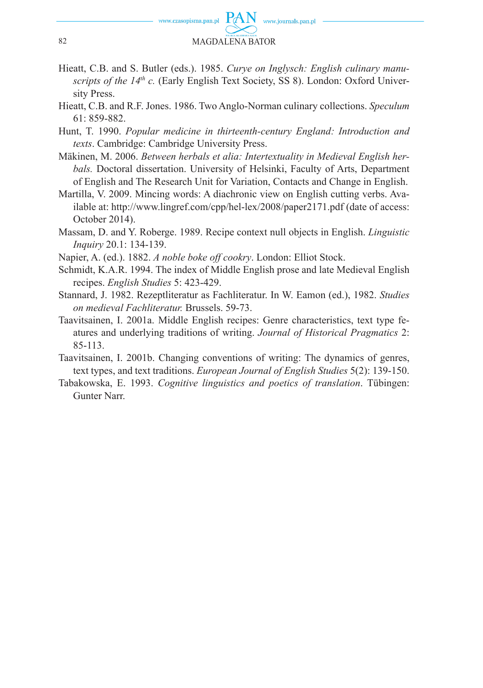

- Hieatt, C.B. and S. Butler (eds.). 1985. *Curye on Inglysch: English culinary manuscripts of the 14th c.* (Early English Text Society, SS 8). London: Oxford University Press.
- Hieatt, C.B. and R.F. Jones. 1986. Two Anglo-Norman culinary collections. *Speculum* 61: 859-882.
- Hunt, T. 1990. *Popular medicine in thirteenth-century England: Introduction and texts*. Cambridge: Cambridge University Press.
- Mäkinen, M. 2006. *Between herbals et alia: Intertextuality in Medieval English herbals.* Doctoral dissertation. University of Helsinki, Faculty of Arts, Department of English and The Research Unit for Variation, Contacts and Change in English.
- Martilla, V. 2009. Mincing words: A diachronic view on English cutting verbs. Available at: http://www.lingref.com/cpp/hel-lex/2008/paper2171.pdf (date of access: October 2014).
- Massam, D. and Y. Roberge. 1989. Recipe context null objects in English. *Linguistic Inquiry* 20.1: 134-139.
- Napier, A. (ed.). 1882. *A noble boke off cookry*. London: Elliot Stock.
- Schmidt, K.A.R. 1994. The index of Middle English prose and late Medieval English recipes. *English Studies* 5: 423-429.
- Stannard, J. 1982. Rezeptliteratur as Fachliteratur. In W. Eamon (ed.), 1982. *Studies on medieval Fachliteratur.* Brussels. 59-73.
- Taavitsainen, I. 2001a. Middle English recipes: Genre characteristics, text type features and underlying traditions of writing. *Journal of Historical Pragmatics* 2: 85-113.
- Taavitsainen, I. 2001b. Changing conventions of writing: The dynamics of genres, text types, and text traditions. *European Journal of English Studies* 5(2): 139-150.
- Tabakowska, E. 1993. *Cognitive linguistics and poetics of translation*. Tübingen: Gunter Narr.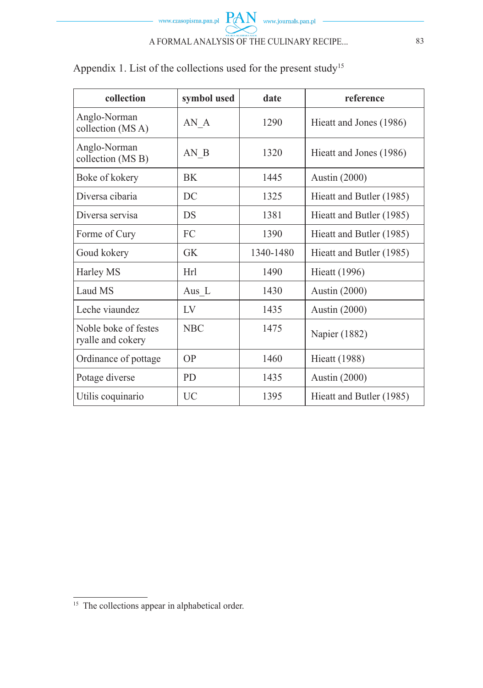

Appendix 1. List of the collections used for the present study<sup>15</sup>

| collection                                | symbol used | date      | reference                |
|-------------------------------------------|-------------|-----------|--------------------------|
| Anglo-Norman<br>collection (MSA)          | $AN_A$      | 1290      | Hieatt and Jones (1986)  |
| Anglo-Norman<br>collection (MS B)         | AN B        | 1320      | Hieatt and Jones (1986)  |
| Boke of kokery                            | BK          | 1445      | <b>Austin (2000)</b>     |
| Diversa cibaria                           | DC          | 1325      | Hieatt and Butler (1985) |
| Diversa servisa                           | <b>DS</b>   | 1381      | Hieatt and Butler (1985) |
| Forme of Cury                             | FC          | 1390      | Hieatt and Butler (1985) |
| Goud kokery                               | GK          | 1340-1480 | Hieatt and Butler (1985) |
| Harley MS                                 | Hrl         | 1490      | <b>Hieatt</b> (1996)     |
| Laud MS                                   | Aus $_L$    | 1430      | <b>Austin (2000)</b>     |
| Leche viaundez                            | $\rm IV$    | 1435      | <b>Austin (2000)</b>     |
| Noble boke of festes<br>ryalle and cokery | <b>NBC</b>  | 1475      | Napier (1882)            |
| Ordinance of pottage                      | OP.         | 1460      | <b>Hieatt</b> (1988)     |
| Potage diverse                            | PD.         | 1435      | <b>Austin (2000)</b>     |
| Utilis coquinario                         | UC          | 1395      | Hieatt and Butler (1985) |

<sup>&</sup>lt;sup>15</sup> The collections appear in alphabetical order.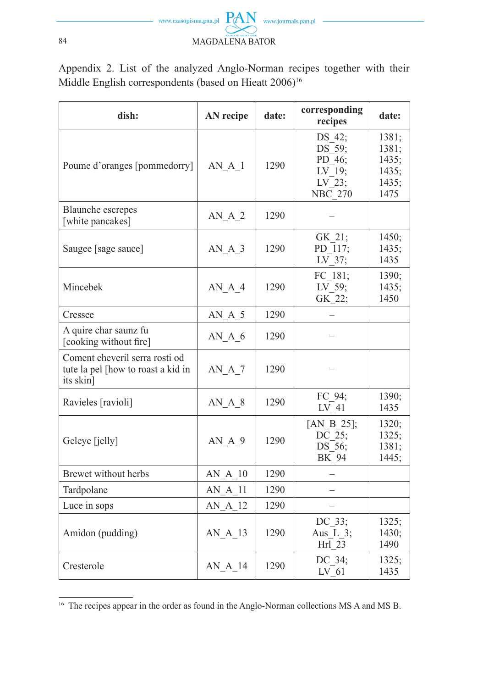

Appendix 2. List of the analyzed Anglo-Norman recipes together with their Middle English correspondents (based on Hieatt  $2006$ )<sup>16</sup>

| dish:                                                                             | <b>AN</b> recipe | date: | corresponding<br>recipes                                                       | date:                                             |
|-----------------------------------------------------------------------------------|------------------|-------|--------------------------------------------------------------------------------|---------------------------------------------------|
| Poume d'oranges [pommedorry]                                                      | AN A 1           | 1290  | DS 42;<br>DS 59;<br>PD 46;<br>LV 19;<br>$LV$ <sup>-23;</sup><br><b>NBC</b> 270 | 1381;<br>1381;<br>1435;<br>1435;<br>1435;<br>1475 |
| <b>Blaunche</b> escrepes<br>[white pancakes]                                      | AN A 2           | 1290  |                                                                                |                                                   |
| Saugee [sage sauce]                                                               | $AN_A_3$         | 1290  | GK 21;<br>PD_117;<br>$LV_37;$                                                  | 1450;<br>1435;<br>1435                            |
| Mincebek                                                                          | $AN_A_4$         | 1290  | FC 181;<br>$LV_59;$<br>GK_22;                                                  | 1390;<br>1435;<br>1450                            |
| Cressee                                                                           | $AN_A_5$         | 1290  |                                                                                |                                                   |
| A quire char saunz fu<br>[cooking without fire]                                   | $AN_A_6$         | 1290  |                                                                                |                                                   |
| Coment cheveril serra rosti od<br>tute la pel [how to roast a kid in<br>its skin] | $AN_A_7$         | 1290  |                                                                                |                                                   |
| Ravieles [ravioli]                                                                | $AN_A_8$         | 1290  | FC 94;<br>LV 41                                                                | 1390;<br>1435                                     |
| Geleye [jelly]                                                                    | AN A 9           | 1290  | [AN B $25$ ];<br>DC 25;<br>DS_56;<br>BK 94                                     | 1320;<br>1325;<br>1381;<br>1445;                  |
| Brewet without herbs                                                              | $AN_A_10$        | 1290  |                                                                                |                                                   |
| Tardpolane                                                                        | AN A 11          | 1290  |                                                                                |                                                   |
| Luce in sops                                                                      | AN A 12          | 1290  |                                                                                |                                                   |
| Amidon (pudding)                                                                  | AN A 13          | 1290  | DC 33;<br>Aus $L_3$ ;<br>Hrl 23                                                | 1325;<br>1430;<br>1490                            |
| Cresterole                                                                        | $AN_A_14$        | 1290  | DC 34;<br>LV 61                                                                | 1325;<br>1435                                     |

<sup>&</sup>lt;sup>16</sup> The recipes appear in the order as found in the Anglo-Norman collections MS A and MS B.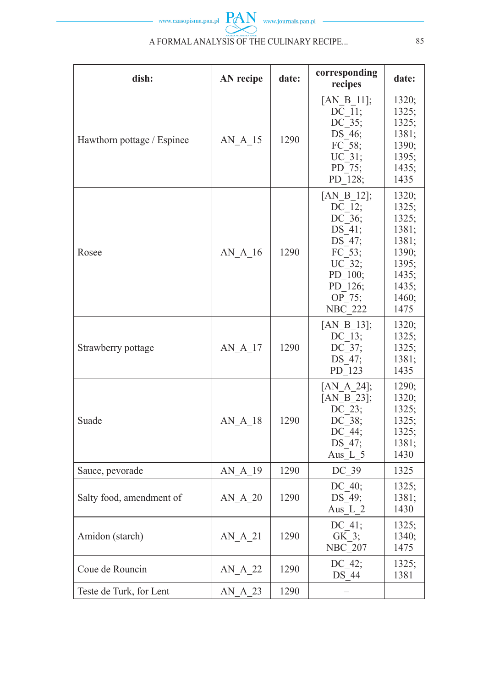

| dish:                      | AN recipe | date: | corresponding<br>recipes                                                                                                       | date:                                                                                          |
|----------------------------|-----------|-------|--------------------------------------------------------------------------------------------------------------------------------|------------------------------------------------------------------------------------------------|
| Hawthorn pottage / Espinee | AN A 15   | 1290  | [AN B 11];<br>$\overline{\text{DC}}$ $\overline{1}$ 1;<br>DC 35;<br>DS 46;<br>FC 58;<br>UC 31;<br>PD 75;<br>PD 128;            | 1320;<br>1325;<br>1325;<br>1381;<br>1390;<br>1395;<br>1435;<br>1435                            |
| Rosee                      | AN A 16   | 1290  | $[AN_B_12];$<br>DC 12;<br>$DC^-36$ ;<br>DS 41;<br>DS 47:<br>FC 53;<br>UC 32;<br>PD 100;<br>PD 126;<br>OP 75:<br><b>NBC 222</b> | 1320:<br>1325;<br>1325:<br>1381;<br>1381;<br>1390:<br>1395:<br>1435:<br>1435;<br>1460;<br>1475 |
| Strawberry pottage         | AN A 17   | 1290  | [AN B 13];<br>$DC_{37}$ ;<br>DS 47;<br>PD 123                                                                                  | 1320;<br>1325;<br>1325;<br>1381;<br>1435                                                       |
| Suade                      | AN A 18   | 1290  | [AN A 24];<br>[AN B $23$ ];<br>$DC_23;$<br>DC 38;<br>DC 44;<br>DS 47;<br>Aus L 5                                               | 1290;<br>1320;<br>1325;<br>1325;<br>1325;<br>1381;<br>1430                                     |
| Sauce, pevorade            | AN A 19   | 1290  | DC 39                                                                                                                          | 1325                                                                                           |
| Salty food, amendment of   | AN A 20   | 1290  | DC $40$ ;<br>DS 49;<br>Aus_ $L_2$                                                                                              | 1325;<br>1381;<br>1430                                                                         |
| Amidon (starch)            | AN A 21   | 1290  | DC 41;<br>GK 3;<br><b>NBC</b> <sup>207</sup>                                                                                   | 1325;<br>1340;<br>1475                                                                         |
| Coue de Rouncin            | $AN_A_22$ | 1290  | DC 42;<br>DS 44                                                                                                                | 1325;<br>1381                                                                                  |
| Teste de Turk, for Lent    | AN A 23   | 1290  |                                                                                                                                |                                                                                                |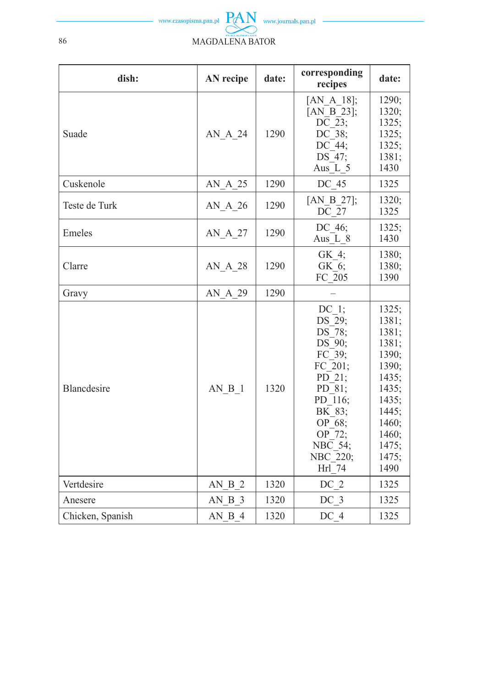

| dish:            | <b>AN</b> recipe | date: | corresponding<br>recipes                                                                                                                                    | date:                                                                                                                              |
|------------------|------------------|-------|-------------------------------------------------------------------------------------------------------------------------------------------------------------|------------------------------------------------------------------------------------------------------------------------------------|
| Suade            | AN A 24          | 1290  | [AN A $18$ ];<br>[AN B 23];<br>DC 23;<br>DC 38;<br>$DC_44;$<br>DS 47;<br>Aus L 5                                                                            | 1290;<br>1320;<br>1325;<br>1325;<br>1325;<br>1381;<br>1430                                                                         |
| Cuskenole        | AN A 25          | 1290  | DC 45                                                                                                                                                       | 1325                                                                                                                               |
| Teste de Turk    | AN A 26          | 1290  | [AN B $27$ ];<br>DC 27                                                                                                                                      | 1320;<br>1325                                                                                                                      |
| Emeles           | AN A 27          | 1290  | DC 46;<br>Aus L 8                                                                                                                                           | 1325;<br>1430                                                                                                                      |
| Clarre           | AN A 28          | 1290  | GK 4;<br>GK 6;<br>$FC$ 205                                                                                                                                  | 1380;<br>1380;<br>1390                                                                                                             |
| Gravy            | AN A 29          | 1290  |                                                                                                                                                             |                                                                                                                                    |
| Blancdesire      | AN B 1           | 1320  | DC 1;<br>DS 29;<br>$DS^-78;$<br>DS 90;<br>FC 39;<br>FC_201;<br>$PD_21;$<br>PD 81;<br>PD 116;<br>BK 83;<br>OP 68;<br>OP 72;<br>NBC_54;<br>NBC_220;<br>Hrl 74 | 1325;<br>1381;<br>1381;<br>1381;<br>1390;<br>1390;<br>1435;<br>1435;<br>1435;<br>1445;<br>1460;<br>1460;<br>1475;<br>1475;<br>1490 |
| Vertdesire       | AN B 2           | 1320  | $DC2$                                                                                                                                                       | 1325                                                                                                                               |
| Anesere          | AN B 3           | 1320  | DC 3                                                                                                                                                        | 1325                                                                                                                               |
| Chicken, Spanish | AN B 4           | 1320  | DC 4                                                                                                                                                        | 1325                                                                                                                               |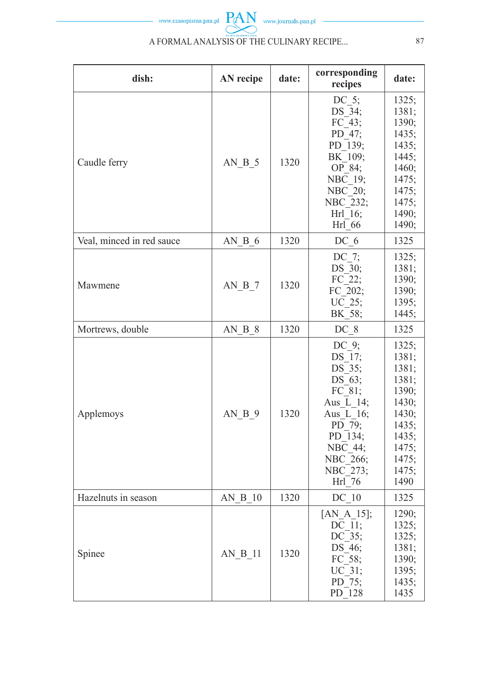

| dish:                     | AN recipe | date: | corresponding<br>recipes                                                                                                                    | date:                                                                                                            |
|---------------------------|-----------|-------|---------------------------------------------------------------------------------------------------------------------------------------------|------------------------------------------------------------------------------------------------------------------|
| Caudle ferry              | AN B 5    | 1320  | DC $5$ ;<br>DS 34;<br>FC 43;<br>PD 47;<br>PD 139;<br>BK 109;<br>OP 84;<br>NBC 19;<br>$NBC$ <sup>-20;</sup><br>NBC_232;<br>Hrl 16;<br>Hrl 66 | 1325;<br>1381;<br>1390;<br>1435;<br>1435;<br>1445;<br>1460;<br>1475;<br>1475;<br>1475;<br>1490;<br>1490;         |
| Veal, minced in red sauce | AN B 6    | 1320  | DC 6                                                                                                                                        | 1325                                                                                                             |
| Mawmene                   | AN B 7    | 1320  | DC 7;<br>DS 30;<br>FC 22;<br>FC 202;<br>$\overline{\text{UC}}$ _25;<br>BK 58;                                                               | 1325;<br>1381;<br>1390;<br>1390;<br>1395;<br>1445;                                                               |
| Mortrews, double          | AN B 8    | 1320  | DC 8                                                                                                                                        | 1325                                                                                                             |
| Applemoys                 | AN B 9    | 1320  | DC 9;<br>DS 17;<br>DS 35;<br>DS 63;<br>FC 81;<br>Aus L 14;<br>Aus L 16;<br>PD_79;<br>PD 134;<br>NBC 44;<br>NBC 266;<br>NBC 273;<br>Hrl 76   | 1325;<br>1381;<br>1381;<br>1381;<br>1390;<br>1430;<br>1430;<br>1435:<br>1435;<br>1475;<br>1475;<br>1475:<br>1490 |
| Hazelnuts in season       | AN B 10   | 1320  | DC 10                                                                                                                                       | 1325                                                                                                             |
| Spinee                    | AN B 11   | 1320  | [AN A $15$ ];<br>$DC_11;$<br>DC 35;<br>DS 46;<br>$FC_58;$<br>$UC^-31;$<br>PD 75;<br>PD 128                                                  | 1290;<br>1325;<br>1325;<br>1381;<br>1390;<br>1395;<br>1435;<br>1435                                              |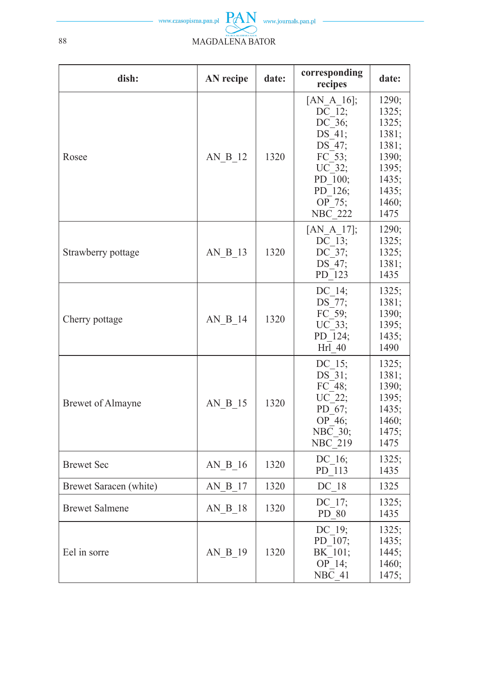

| dish:                    | AN recipe | date: | corresponding<br>recipes                                                                                                                                                                     | date:                                                                                          |
|--------------------------|-----------|-------|----------------------------------------------------------------------------------------------------------------------------------------------------------------------------------------------|------------------------------------------------------------------------------------------------|
| Rosee                    | AN B 12   | 1320  | [AN A $16$ ];<br>$\overline{\text{DC}}$ $\overline{12}$ ;<br>DC_36;<br>DS 41;<br>$DS\overline{47}$ ;<br>$FC_3;$<br>$UC_32;$<br>PD 100;<br>PD 126;<br>$\overline{\text{OP}}$ 75;<br>$NBC$ 222 | 1290;<br>1325;<br>1325;<br>1381;<br>1381;<br>1390;<br>1395;<br>1435;<br>1435;<br>1460;<br>1475 |
| Strawberry pottage       | AN B 13   | 1320  | $[AN_A_17];$<br>$DC_13;$<br>DC 37;<br>DS 47;<br>PD 123                                                                                                                                       | 1290;<br>1325;<br>1325;<br>1381;<br>1435                                                       |
| Cherry pottage           | AN B 14   | 1320  | DC 14;<br>DS_77;<br>$FC$ 59;<br>$UC^-33;$<br>PD 124;<br>$Hri\overline{1}$ 40                                                                                                                 | 1325;<br>1381;<br>1390;<br>1395;<br>1435;<br>1490                                              |
| <b>Brewet of Almayne</b> | AN B 15   | 1320  | DC 15;<br>DS 31;<br>FC 48;<br>UC 22;<br>PD 67;<br>OP 46;<br>$NBC$ 30;<br>NBC <sup>-219</sup>                                                                                                 | 1325;<br>1381;<br>1390;<br>1395;<br>1435;<br>1460;<br>1475;<br>1475                            |
| <b>Brewet Sec</b>        | AN B 16   | 1320  | DC 16;<br>PD 113                                                                                                                                                                             | 1325;<br>1435                                                                                  |
| Brewet Saracen (white)   | AN B 17   | 1320  | DC 18                                                                                                                                                                                        | 1325                                                                                           |
| <b>Brewet Salmene</b>    | AN B 18   | 1320  | DC 17;<br>PD 80                                                                                                                                                                              | 1325;<br>1435                                                                                  |
| Eel in sorre             | AN B 19   | 1320  | DC 19;<br>PD 107;<br>BK 101;<br>OP 14;<br>$NB\overline{C}$ 41                                                                                                                                | 1325;<br>1435;<br>1445;<br>1460;<br>1475;                                                      |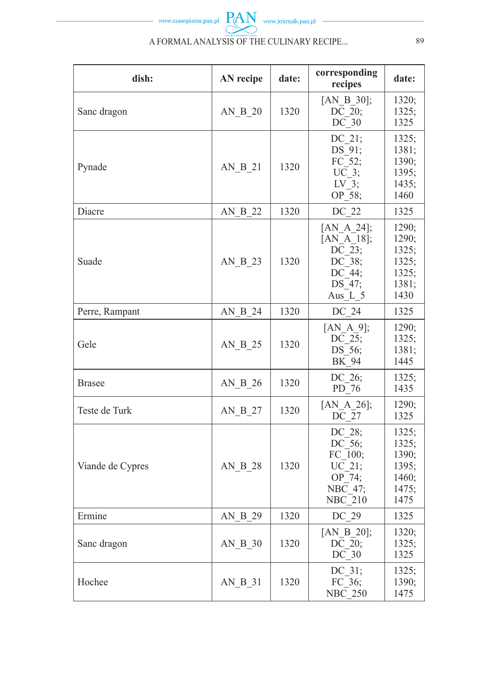

| dish:            | <b>AN</b> recipe                    | date: | corresponding<br>recipes                                                                                  | date:                                                      |
|------------------|-------------------------------------|-------|-----------------------------------------------------------------------------------------------------------|------------------------------------------------------------|
| Sanc dragon      | $AN$ <sub><math>B</math></sub> $20$ | 1320  | [AN B $30$ ];<br>$\overline{\text{DC}}$ 20;<br>DC 30                                                      | 1320:<br>1325;<br>1325                                     |
| Pynade           | AN B 21                             | 1320  | DC 21;<br>DS 91;<br>$FC$ <sup>-52</sup> ;<br>$UC$ 3;<br>$LV^{-3}$<br>OP 58;                               | 1325:<br>1381;<br>1390;<br>1395;<br>1435;<br>1460          |
| Diacre           | AN B 22                             | 1320  | DC 22                                                                                                     | 1325                                                       |
| Suade            | AN B_23                             | 1320  | [AN A 24];<br>$[AN_A_18];$<br>$\overline{\text{DC}}$ 23;<br>DC 38;<br>DC 44;<br>DS 47;<br>Aus L 5         | 1290;<br>1290;<br>1325;<br>1325;<br>1325;<br>1381;<br>1430 |
| Perre, Rampant   | AN B 24                             | 1320  | DC 24                                                                                                     | 1325                                                       |
| Gele             | AN B 25                             | 1320  | [AN A $9$ ];<br>DC 25;<br>DS 56;<br>BK 94                                                                 | 1290;<br>1325;<br>1381;<br>1445                            |
| <b>Brasee</b>    | AN B 26                             | 1320  | DC 26;<br>$PD_76$                                                                                         | 1325;<br>1435                                              |
| Teste de Turk    | $AN_B_2$                            | 1320  | $[AN_A_26];$<br>$DC_27$                                                                                   | 1290;<br>1325                                              |
| Viande de Cypres | AN B 28                             | 1320  | DC_28;<br>$DC$ <sup>-56</sup> ;<br>$FC_1$ 00;<br>UC 21;<br>$OP^-74;$<br>$NBC$ 47;<br>$NBC$ <sup>210</sup> | 1325;<br>1325;<br>1390;<br>1395;<br>1460;<br>1475;<br>1475 |
| Ermine           | AN B 29                             | 1320  | DC 29                                                                                                     | 1325                                                       |
| Sanc dragon      | AN B 30                             | 1320  | [AN B 20];<br>$D\overline{C}$ $\overline{2}0;$<br>DC 30                                                   | 1320;<br>1325;<br>1325                                     |
| Hochee           | AN B 31                             | 1320  | $DC_31;$<br>FC 36;<br><b>NBC 250</b>                                                                      | 1325;<br>1390;<br>1475                                     |